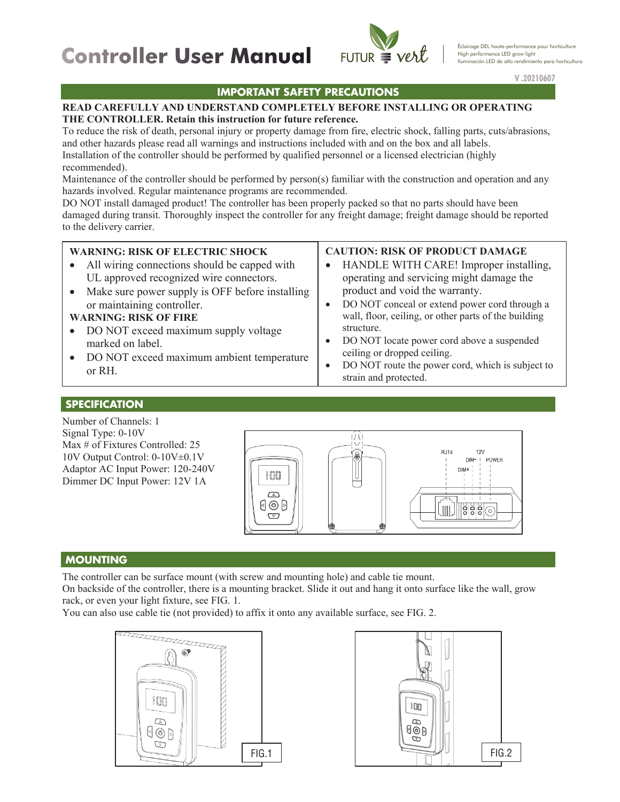# **Controller User Manual Controller User Manual**



 $V.2021$ **V .20210607**

## **IMPORTANT SAFETY PRECAUTIONS** *IMPORTANT SAFETY PRECAUTIONS*

### **READ CAREFULLY AND UNDERSTAND COMPLETELY BEFORE INSTALLING OR OPERATING THE CONTROLLER. Retain this instruction for future reference.**

To reduce the risk of death, personal injury or property damage from fire, electric shock, falling parts, cuts/abrasions, and other hazards please read all warnings and instructions included with and on the box and all labels. Installation of the controller should be performed by qualified personnel or a licensed electrician (highly recommended).

Maintenance of the controller should be performed by person(s) familiar with the construction and operation and any hazards involved. Regular maintenance programs are recommended.

DO NOT install damaged product! The controller has been properly packed so that no parts should have been damaged during transit. Thoroughly inspect the controller for any freight damage; freight damage should be reported to the delivery carrier.

### **WARNING: RISK OF ELECTRIC SHOCK**

- All wiring connections should be capped with UL approved recognized wire connectors.
- Make sure power supply is OFF before installing or maintaining controller.

### **WARNING: RISK OF FIRE**

- DO NOT exceed maximum supply voltage marked on label.
- DO NOT exceed maximum ambient temperature or RH.

## **CAUTION: RISK OF PRODUCT DAMAGE**

- HANDLE WITH CARE! Improper installing, operating and servicing might damage the product and void the warranty.
- DO NOT conceal or extend power cord through a wall, floor, ceiling, or other parts of the building structure.
- DO NOT locate power cord above a suspended ceiling or dropped ceiling.
- DO NOT route the power cord, which is subject to strain and protected.

#### **SPECIFICATION SPECIFICATION**

Number of Channels: 1 Signal Type: 0-10V Max # of Fixtures Controlled: 25 10V Output Control: 0-10V±0.1V Adaptor AC Input Power: 120-240V Dimmer DC Input Power: 12V 1A



### **MOUNTING** *MOUNTING* **MOUNTING**

The controller can be surface mount (with screw and mounting hole) and cable tie mount.

On backside of the controller, there is a mounting bracket. Slide it out and hang it onto surface like the wall, grow rack, or even your light fixture, see FIG. 1.

You can also use cable tie (not provided) to affix it onto any available surface, see FIG. 2.